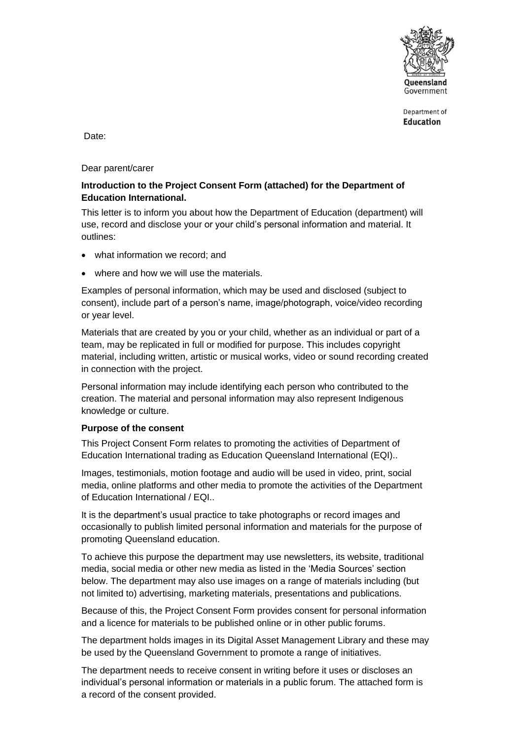

Department of **Education** 

Date:

Dear parent/carer

### **Introduction to the Project Consent Form (attached) for the Department of Education International.**

This letter is to inform you about how the Department of Education (department) will use, record and disclose your or your child's personal information and material. It outlines:

- what information we record; and
- where and how we will use the materials.

Examples of personal information, which may be used and disclosed (subject to consent), include part of a person's name, image/photograph, voice/video recording or year level.

Materials that are created by you or your child, whether as an individual or part of a team, may be replicated in full or modified for purpose. This includes copyright material, including written, artistic or musical works, video or sound recording created in connection with the project.

Personal information may include identifying each person who contributed to the creation. The material and personal information may also represent Indigenous knowledge or culture.

### **Purpose of the consent**

This Project Consent Form relates to promoting the activities of Department of Education International trading as Education Queensland International (EQI)..

Images, testimonials, motion footage and audio will be used in video, print, social media, online platforms and other media to promote the activities of the Department of Education International / EQI..

It is the department's usual practice to take photographs or record images and occasionally to publish limited personal information and materials for the purpose of promoting Queensland education.

To achieve this purpose the department may use newsletters, its website, traditional media, social media or other new media as listed in the 'Media Sources' section below. The department may also use images on a range of materials including (but not limited to) advertising, marketing materials, presentations and publications.

Because of this, the Project Consent Form provides consent for personal information and a licence for materials to be published online or in other public forums.

The department holds images in its Digital Asset Management Library and these may be used by the Queensland Government to promote a range of initiatives.

The department needs to receive consent in writing before it uses or discloses an individual's personal information or materials in a public forum. The attached form is a record of the consent provided.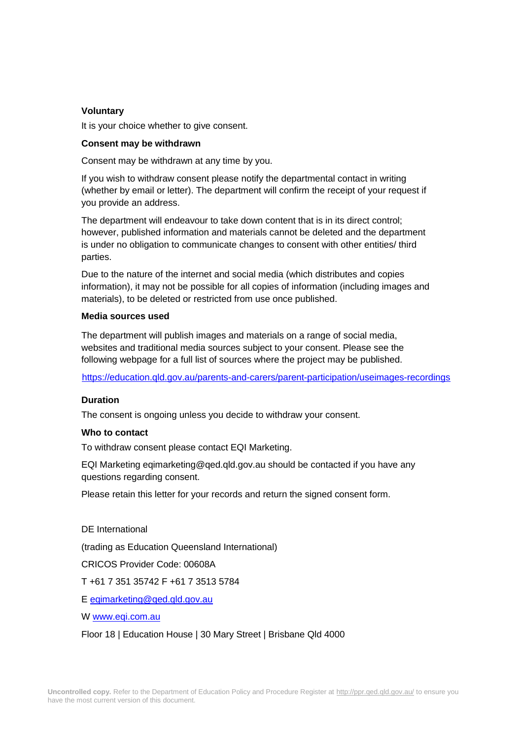### **Voluntary**

It is your choice whether to give consent.

#### **Consent may be withdrawn**

Consent may be withdrawn at any time by you.

If you wish to withdraw consent please notify the departmental contact in writing (whether by email or letter). The department will confirm the receipt of your request if you provide an address.

The department will endeavour to take down content that is in its direct control; however, published information and materials cannot be deleted and the department is under no obligation to communicate changes to consent with other entities/ third parties.

Due to the nature of the internet and social media (which distributes and copies information), it may not be possible for all copies of information (including images and materials), to be deleted or restricted from use once published.

### **Media sources used**

The department will publish images and materials on a range of social media, websites and traditional media sources subject to your consent. Please see the following webpage for a full list of sources where the project may be published.

[https://education.qld.gov.au/parents-and-carers/parent-participation/useimages-recordings](https://education.qld.gov.au/parents-and-carers/parent-participation/use-images-recordings) 

### **Duration**

The consent is ongoing unless you decide to withdraw your consent.

#### **Who to contact**

To withdraw consent please contact EQI Marketing.

EQI Marketing eqimarketing@qed.qld.gov.au should be contacted if you have any questions regarding consent.

Please retain this letter for your records and return the signed consent form.

DE International

(trading as Education Queensland International)

CRICOS Provider Code: 00608A

T +61 7 351 35742 F +61 7 3513 5784

E [eqimarketing@qed.qld.gov.au](mailto:eqimarketing@qed.qld.gov.au)

W [www.eqi.com.au](http://www.eqi.com.au/)

Floor 18 | Education House | 30 Mary Street | Brisbane Qld 4000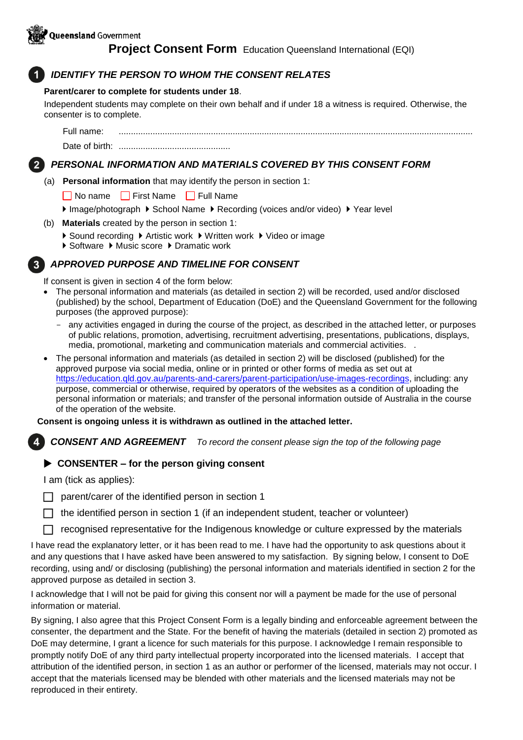# *IDENTIFY THE PERSON TO WHOM THE CONSENT RELATES*

## **Parent/carer to complete for students under 18**.

Independent students may complete on their own behalf and if under 18 a witness is required. Otherwise, the consenter is to complete.

Full name: .................................................................................................................................................. Date of birth: ..............................................

# *PERSONAL INFORMATION AND MATERIALS COVERED BY THIS CONSENT FORM*

(a) **Personal information** that may identify the person in section 1:

■ No name First Name Full Name

Image/photograph I School Name I Recording (voices and/or video) I Year level

- (b) **Materials** created by the person in section 1:
	- ▶ Sound recording ▶ Artistic work ▶ Written work ▶ Video or image
	- ▶ Software ▶ Music score ▶ Dramatic work

# *APPROVED PURPOSE AND TIMELINE FOR CONSENT*

If consent is given in section 4 of the form below:

- The personal information and materials (as detailed in section 2) will be recorded, used and/or disclosed (published) by the school, Department of Education (DoE) and the Queensland Government for the following purposes (the approved purpose):
	- any activities engaged in during the course of the project, as described in the attached letter, or purposes of public relations, promotion, advertising, recruitment advertising, presentations, publications, displays, media, promotional, marketing and communication materials and commercial activities. .
- The personal information and materials (as detailed in section 2) will be disclosed (published) for the approved purpose via social media, online or in printed or other forms of media as set out at [https://education.qld.gov.au/parents-](https://education.qld.gov.au/parents)[and-carers/parent-participation/use-images-recordings,](https://education.qld.gov.au/parents-and-carers/parent-participation/use-images-recordings) including: any purpose, commercial or otherwise, required by operators of the websites as a condition of uploading the personal information or materials; and transfer of the personal information outside of Australia in the course of the operation of the website.

## **Consent is ongoing unless it is withdrawn as outlined in the attached letter.**

*CONSENT AND AGREEMENT To record the consent please sign the top of the following page* 

# **CONSENTER – for the person giving consent**

I am (tick as applies):

- parent/carer of the identified person in section 1
- $\Box$  the identified person in section 1 (if an independent student, teacher or volunteer)

recognised representative for the Indigenous knowledge or culture expressed by the materials

I have read the explanatory letter, or it has been read to me. I have had the opportunity to ask questions about it and any questions that I have asked have been answered to my satisfaction. By signing below, I consent to DoE recording, using and/ or disclosing (publishing) the personal information and materials identified in section 2 for the approved purpose as detailed in section 3.

I acknowledge that I will not be paid for giving this consent nor will a payment be made for the use of personal information or material.

By signing, I also agree that this Project Consent Form is a legally binding and enforceable agreement between the consenter, the department and the State. For the benefit of having the materials (detailed in section 2) promoted as DoE may determine, I grant a licence for such materials for this purpose. I acknowledge I remain responsible to promptly notify DoE of any third party intellectual property incorporated into the licensed materials. I accept that attribution of the identified person, in section 1 as an author or performer of the licensed, materials may not occur. I accept that the materials licensed may be blended with other materials and the licensed materials may not be reproduced in their entirety.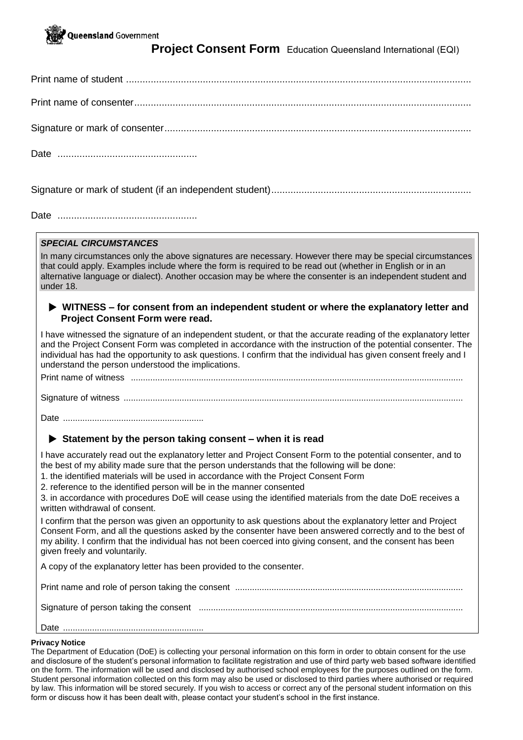

Print name of student ..............................................................................................................................

Print name of consenter...........................................................................................................................

Signature or mark of consenter................................................................................................................

Date ...................................................

Signature or mark of student (if an independent student).........................................................................

Date ...................................................

### *SPECIAL CIRCUMSTANCES*

In many circumstances only the above signatures are necessary. However there may be special circumstances that could apply. Examples include where the form is required to be read out (whether in English or in an alternative language or dialect). Another occasion may be where the consenter is an independent student and under 18.

### **WITNESS – for consent from an independent student or where the explanatory letter and Project Consent Form were read.**

I have witnessed the signature of an independent student, or that the accurate reading of the explanatory letter and the Project Consent Form was completed in accordance with the instruction of the potential consenter. The individual has had the opportunity to ask questions. I confirm that the individual has given consent freely and I understand the person understood the implications.

Print name of witness .........................................................................................................................................

Signature of witness ............................................................................................................................................

Date ..........................................................

### **Statement by the person taking consent – when it is read**

I have accurately read out the explanatory letter and Project Consent Form to the potential consenter, and to the best of my ability made sure that the person understands that the following will be done:

- 1. the identified materials will be used in accordance with the Project Consent Form
- 2. reference to the identified person will be in the manner consented

3. in accordance with procedures DoE will cease using the identified materials from the date DoE receives a written withdrawal of consent.

I confirm that the person was given an opportunity to ask questions about the explanatory letter and Project Consent Form, and all the questions asked by the consenter have been answered correctly and to the best of my ability. I confirm that the individual has not been coerced into giving consent, and the consent has been given freely and voluntarily.

A copy of the explanatory letter has been provided to the consenter.

Print name and role of person taking the consent ..............................................................................................

Signature of person taking the consent .............................................................................................................

Date ..........................................................

### **Privacy Notice**

The Department of Education (DoE) is collecting your personal information on this form in order to obtain consent for the use and disclosure of the student's personal information to facilitate registration and use of third party web based software identified on the form. The information will be used and disclosed by authorised school employees for the purposes outlined on the form. Student personal information collected on this form may also be used or disclosed to third parties where authorised or required by law. This information will be stored securely. If you wish to access or correct any of the personal student information on this form or discuss how it has been dealt with, please contact your student's school in the first instance.